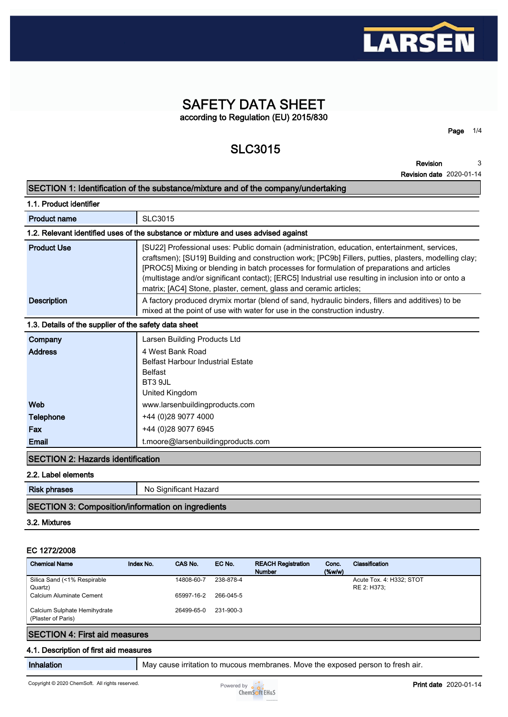

# **SAFETY DATA SHEET according to Regulation (EU) 2015/830**

# **SLC3015**

**Page 1/4**

**Revision Revision date 2020-01-14 3**

|                                                       | $1550011$ uate $2020001$                                                                                                                                                                                                                                                                                                                                                                                                                                                         |
|-------------------------------------------------------|----------------------------------------------------------------------------------------------------------------------------------------------------------------------------------------------------------------------------------------------------------------------------------------------------------------------------------------------------------------------------------------------------------------------------------------------------------------------------------|
|                                                       | SECTION 1: Identification of the substance/mixture and of the company/undertaking                                                                                                                                                                                                                                                                                                                                                                                                |
| 1.1. Product identifier                               |                                                                                                                                                                                                                                                                                                                                                                                                                                                                                  |
| <b>Product name</b>                                   | SLC3015                                                                                                                                                                                                                                                                                                                                                                                                                                                                          |
|                                                       | 1.2. Relevant identified uses of the substance or mixture and uses advised against                                                                                                                                                                                                                                                                                                                                                                                               |
| <b>Product Use</b>                                    | [SU22] Professional uses: Public domain (administration, education, entertainment, services,<br>craftsmen); [SU19] Building and construction work; [PC9b] Fillers, putties, plasters, modelling clay;<br>[PROC5] Mixing or blending in batch processes for formulation of preparations and articles<br>(multistage and/or significant contact); [ERC5] Industrial use resulting in inclusion into or onto a<br>matrix; [AC4] Stone, plaster, cement, glass and ceramic articles; |
| <b>Description</b>                                    | A factory produced drymix mortar (blend of sand, hydraulic binders, fillers and additives) to be<br>mixed at the point of use with water for use in the construction industry.                                                                                                                                                                                                                                                                                                   |
| 1.3. Details of the supplier of the safety data sheet |                                                                                                                                                                                                                                                                                                                                                                                                                                                                                  |
| Company                                               | Larsen Building Products Ltd                                                                                                                                                                                                                                                                                                                                                                                                                                                     |
| <b>Address</b>                                        | 4 West Bank Road<br><b>Belfast Harbour Industrial Estate</b><br><b>Belfast</b><br>BT3 9JL<br>United Kingdom                                                                                                                                                                                                                                                                                                                                                                      |
| Web                                                   | www.larsenbuildingproducts.com                                                                                                                                                                                                                                                                                                                                                                                                                                                   |
| <b>Telephone</b>                                      | +44 (0)28 9077 4000                                                                                                                                                                                                                                                                                                                                                                                                                                                              |
| Fax                                                   | +44 (0)28 9077 6945                                                                                                                                                                                                                                                                                                                                                                                                                                                              |
| <b>Email</b>                                          | t.moore@larsenbuildingproducts.com                                                                                                                                                                                                                                                                                                                                                                                                                                               |
| <b>ISECTION 2: Hazards identification</b>             |                                                                                                                                                                                                                                                                                                                                                                                                                                                                                  |

#### **2.2. Label elements**

| <b>Risk phrases</b>                               | No Significant Hazard |
|---------------------------------------------------|-----------------------|
| SECTION 3: Composition/information on ingredients |                       |

#### **3.2. Mixtures**

#### **EC 1272/2008**

| <b>Chemical Name</b>                               | Index No. | CAS No.    | EC No.    | <b>REACH Registration</b><br><b>Number</b> | Conc.<br>$(\%w/w)$ | Classification           |
|----------------------------------------------------|-----------|------------|-----------|--------------------------------------------|--------------------|--------------------------|
| Silica Sand (<1% Respirable                        |           | 14808-60-7 | 238-878-4 |                                            |                    | Acute Tox. 4: H332; STOT |
| Quartz)                                            |           |            |           |                                            |                    | RE 2: H373:              |
| Calcium Aluminate Cement                           |           | 65997-16-2 | 266-045-5 |                                            |                    |                          |
| Calcium Sulphate Hemihydrate<br>(Plaster of Paris) |           | 26499-65-0 | 231-900-3 |                                            |                    |                          |
| <b>SECTION 4: First aid measures</b>               |           |            |           |                                            |                    |                          |

#### **4.1. Description of first aid measures**

**Inhalation May cause irritation to mucous membranes. Move the exposed person to fresh air.** 

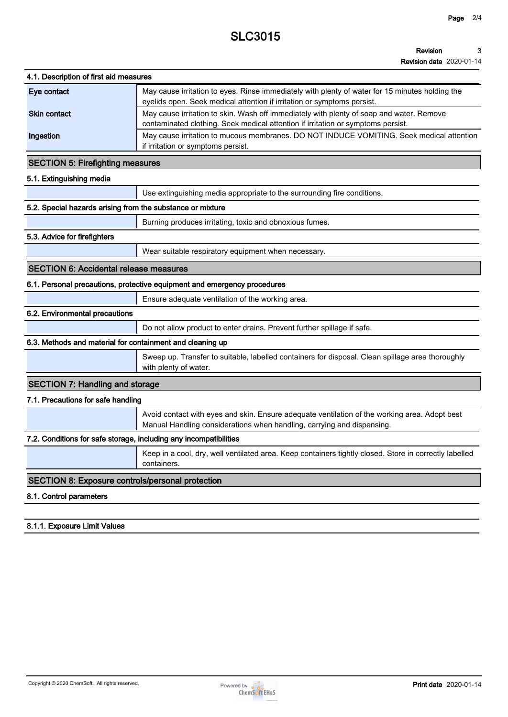# **SLC3015**

#### **Revision 3**

**Revision date 2020-01-14**

| 4.1. Description of first aid measures                            |                                                                                                                                                                              |
|-------------------------------------------------------------------|------------------------------------------------------------------------------------------------------------------------------------------------------------------------------|
| Eye contact                                                       | May cause irritation to eyes. Rinse immediately with plenty of water for 15 minutes holding the<br>eyelids open. Seek medical attention if irritation or symptoms persist.   |
| <b>Skin contact</b>                                               | May cause irritation to skin. Wash off immediately with plenty of soap and water. Remove<br>contaminated clothing. Seek medical attention if irritation or symptoms persist. |
| Ingestion                                                         | May cause irritation to mucous membranes. DO NOT INDUCE VOMITING. Seek medical attention<br>if irritation or symptoms persist.                                               |
| <b>SECTION 5: Firefighting measures</b>                           |                                                                                                                                                                              |
| 5.1. Extinguishing media                                          |                                                                                                                                                                              |
|                                                                   | Use extinguishing media appropriate to the surrounding fire conditions.                                                                                                      |
| 5.2. Special hazards arising from the substance or mixture        |                                                                                                                                                                              |
|                                                                   | Burning produces irritating, toxic and obnoxious fumes.                                                                                                                      |
| 5.3. Advice for firefighters                                      |                                                                                                                                                                              |
|                                                                   | Wear suitable respiratory equipment when necessary.                                                                                                                          |
| <b>SECTION 6: Accidental release measures</b>                     |                                                                                                                                                                              |
|                                                                   | 6.1. Personal precautions, protective equipment and emergency procedures                                                                                                     |
|                                                                   | Ensure adequate ventilation of the working area.                                                                                                                             |
| 6.2. Environmental precautions                                    |                                                                                                                                                                              |
|                                                                   | Do not allow product to enter drains. Prevent further spillage if safe.                                                                                                      |
| 6.3. Methods and material for containment and cleaning up         |                                                                                                                                                                              |
|                                                                   | Sweep up. Transfer to suitable, labelled containers for disposal. Clean spillage area thoroughly<br>with plenty of water.                                                    |
| <b>SECTION 7: Handling and storage</b>                            |                                                                                                                                                                              |
| 7.1. Precautions for safe handling                                |                                                                                                                                                                              |
|                                                                   | Avoid contact with eyes and skin. Ensure adequate ventilation of the working area. Adopt best<br>Manual Handling considerations when handling, carrying and dispensing.      |
| 7.2. Conditions for safe storage, including any incompatibilities |                                                                                                                                                                              |
|                                                                   | Keep in a cool, dry, well ventilated area. Keep containers tightly closed. Store in correctly labelled<br>containers.                                                        |
|                                                                   |                                                                                                                                                                              |
| <b>SECTION 8: Exposure controls/personal protection</b>           |                                                                                                                                                                              |

### **8.1.1. Exposure Limit Values**

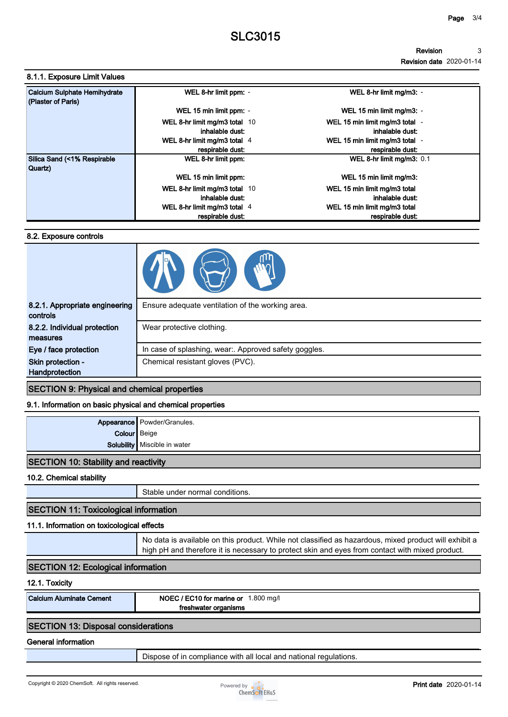**Revision date 2020-01-14**

#### **8.1.1. Exposure Limit Values**

| Calcium Sulphate Hemihydrate<br>(Plaster of Paris) | WEL 8-hr limit ppm: -                              | WEL 8-hr limit mg/m3: -                            |
|----------------------------------------------------|----------------------------------------------------|----------------------------------------------------|
|                                                    | WEL 15 min limit ppm: -                            | WEL 15 min limit mg/m3: -                          |
|                                                    | WEL 8-hr limit mg/m3 total 10<br>inhalable dust:   | WEL 15 min limit mg/m3 total -<br>inhalable dust:  |
|                                                    | WEL 8-hr limit mg/m3 total $4$<br>respirable dust: | WEL 15 min limit mg/m3 total -<br>respirable dust: |
| Silica Sand (<1% Respirable<br>Quartz)             | WEL 8-hr limit ppm:                                | WEL 8-hr limit mg/m3: 0.1                          |
|                                                    | WEL 15 min limit ppm:                              | WEL 15 min limit mg/m3:                            |
|                                                    | WEL 8-hr limit mg/m3 total 10                      | WEL 15 min limit mg/m3 total                       |
|                                                    | inhalable dust:                                    | inhalable dust:                                    |
|                                                    | WEL 8-hr limit mg/m3 total 4                       | WEL 15 min limit mg/m3 total                       |
|                                                    | respirable dust:                                   | respirable dust:                                   |

#### **8.2. Exposure controls**

| 8.2.1. Appropriate engineering<br>controls | Ensure adequate ventilation of the working area.      |  |
|--------------------------------------------|-------------------------------------------------------|--|
| 8.2.2. Individual protection<br>measures   | Wear protective clothing.                             |  |
| Eye / face protection                      | In case of splashing, wear:. Approved safety goggles. |  |
| Skin protection -<br>Handprotection        | Chemical resistant gloves (PVC).                      |  |

#### **SECTION 9: Physical and chemical properties**

#### **9.1. Information on basic physical and chemical properties**

|              | Appearance Powder/Granules.    |
|--------------|--------------------------------|
| Colour Beige |                                |
|              | Solubility   Miscible in water |
|              |                                |

### **SECTION 10: Stability and reactivity**

**10.2. Chemical stability**

**Stable under normal conditions.**

# **SECTION 11: Toxicological information**

## **11.1. Information on toxicological effects**

**No data is available on this product. While not classified as hazardous, mixed product will exhibit a high pH and therefore it is necessary to protect skin and eyes from contact with mixed product.**

## **SECTION 12: Ecological information**

## **12.1. Toxicity**

| <b>Calcium Aluminate Cement</b> | / EC10 for marine or<br>.800 mg/l<br>NOEC /<br>organisms<br>hwatei |
|---------------------------------|--------------------------------------------------------------------|
|                                 |                                                                    |

# **SECTION 13: Disposal considerations**

## **General information**

**Dispose of in compliance with all local and national regulations.**